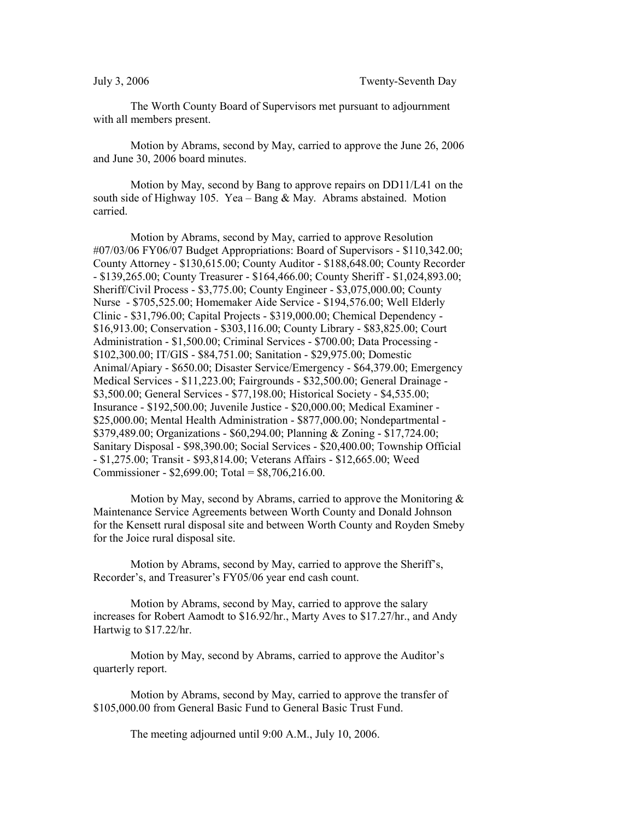The Worth County Board of Supervisors met pursuant to adjournment with all members present.

Motion by Abrams, second by May, carried to approve the June 26, 2006 and June 30, 2006 board minutes.

Motion by May, second by Bang to approve repairs on DD11/L41 on the south side of Highway 105. Yea – Bang  $&$  May. Abrams abstained. Motion carried.

Motion by Abrams, second by May, carried to approve Resolution #07/03/06 FY06/07 Budget Appropriations: Board of Supervisors - \$110,342.00; County Attorney - \$130,615.00; County Auditor - \$188,648.00; County Recorder - \$139,265.00; County Treasurer - \$164,466.00; County Sheriff - \$1,024,893.00; Sheriff/Civil Process - \$3,775.00; County Engineer - \$3,075,000.00; County Nurse - \$705,525.00; Homemaker Aide Service - \$194,576.00; Well Elderly Clinic - \$31,796.00; Capital Projects - \$319,000.00; Chemical Dependency - \$16,913.00; Conservation - \$303,116.00; County Library - \$83,825.00; Court Administration - \$1,500.00; Criminal Services - \$700.00; Data Processing - \$102,300.00; IT/GIS - \$84,751.00; Sanitation - \$29,975.00; Domestic Animal/Apiary - \$650.00; Disaster Service/Emergency - \$64,379.00; Emergency Medical Services - \$11,223.00; Fairgrounds - \$32,500.00; General Drainage - \$3,500.00; General Services - \$77,198.00; Historical Society - \$4,535.00; Insurance - \$192,500.00; Juvenile Justice - \$20,000.00; Medical Examiner - \$25,000.00; Mental Health Administration - \$877,000.00; Nondepartmental - \$379,489.00; Organizations - \$60,294.00; Planning & Zoning - \$17,724.00; Sanitary Disposal - \$98,390.00; Social Services - \$20,400.00; Township Official - \$1,275.00; Transit - \$93,814.00; Veterans Affairs - \$12,665.00; Weed Commissioner - \$2,699.00; Total = \$8,706,216.00.

Motion by May, second by Abrams, carried to approve the Monitoring  $\&$ Maintenance Service Agreements between Worth County and Donald Johnson for the Kensett rural disposal site and between Worth County and Royden Smeby for the Joice rural disposal site.

Motion by Abrams, second by May, carried to approve the Sheriff's, Recorder's, and Treasurer's FY05/06 year end cash count.

Motion by Abrams, second by May, carried to approve the salary increases for Robert Aamodt to \$16.92/hr., Marty Aves to \$17.27/hr., and Andy Hartwig to \$17.22/hr.

Motion by May, second by Abrams, carried to approve the Auditor's quarterly report.

Motion by Abrams, second by May, carried to approve the transfer of \$105,000.00 from General Basic Fund to General Basic Trust Fund.

The meeting adjourned until 9:00 A.M., July 10, 2006.